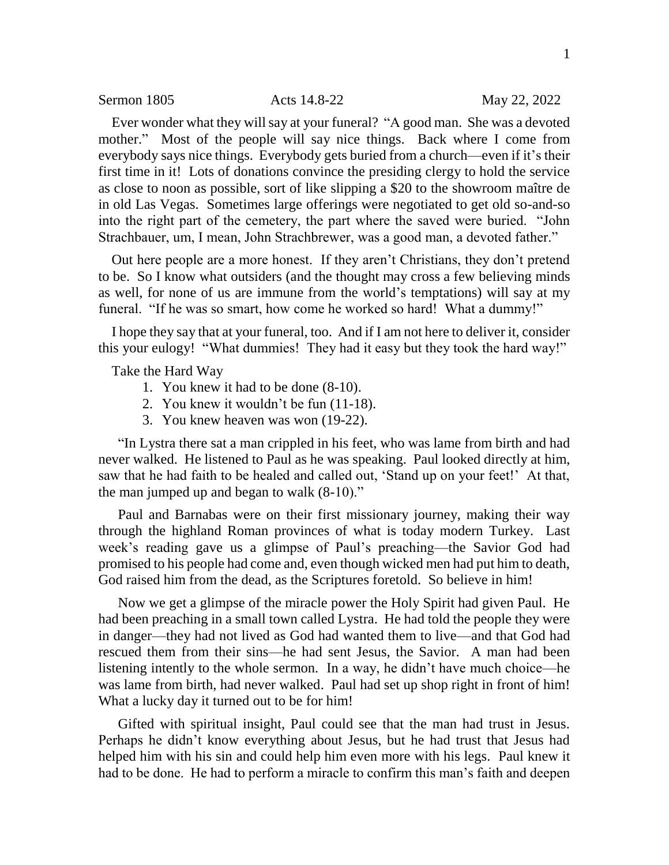Ever wonder what they will say at your funeral? "A good man. She was a devoted mother." Most of the people will say nice things. Back where I come from everybody says nice things. Everybody gets buried from a church—even if it's their first time in it! Lots of donations convince the presiding clergy to hold the service as close to noon as possible, sort of like slipping a \$20 to the showroom maître de in old Las Vegas. Sometimes large offerings were negotiated to get old so-and-so into the right part of the cemetery, the part where the saved were buried. "John Strachbauer, um, I mean, John Strachbrewer, was a good man, a devoted father."

Out here people are a more honest. If they aren't Christians, they don't pretend to be. So I know what outsiders (and the thought may cross a few believing minds as well, for none of us are immune from the world's temptations) will say at my funeral. "If he was so smart, how come he worked so hard! What a dummy!"

I hope they say that at your funeral, too. And if I am not here to deliver it, consider this your eulogy! "What dummies! They had it easy but they took the hard way!"

Take the Hard Way

- 1. You knew it had to be done (8-10).
- 2. You knew it wouldn't be fun (11-18).
- 3. You knew heaven was won (19-22).

"In Lystra there sat a man crippled in his feet, who was lame from birth and had never walked. He listened to Paul as he was speaking. Paul looked directly at him, saw that he had faith to be healed and called out, 'Stand up on your feet!' At that, the man jumped up and began to walk (8-10)."

Paul and Barnabas were on their first missionary journey, making their way through the highland Roman provinces of what is today modern Turkey. Last week's reading gave us a glimpse of Paul's preaching—the Savior God had promised to his people had come and, even though wicked men had put him to death, God raised him from the dead, as the Scriptures foretold. So believe in him!

Now we get a glimpse of the miracle power the Holy Spirit had given Paul. He had been preaching in a small town called Lystra. He had told the people they were in danger—they had not lived as God had wanted them to live—and that God had rescued them from their sins—he had sent Jesus, the Savior. A man had been listening intently to the whole sermon. In a way, he didn't have much choice—he was lame from birth, had never walked. Paul had set up shop right in front of him! What a lucky day it turned out to be for him!

Gifted with spiritual insight, Paul could see that the man had trust in Jesus. Perhaps he didn't know everything about Jesus, but he had trust that Jesus had helped him with his sin and could help him even more with his legs. Paul knew it had to be done. He had to perform a miracle to confirm this man's faith and deepen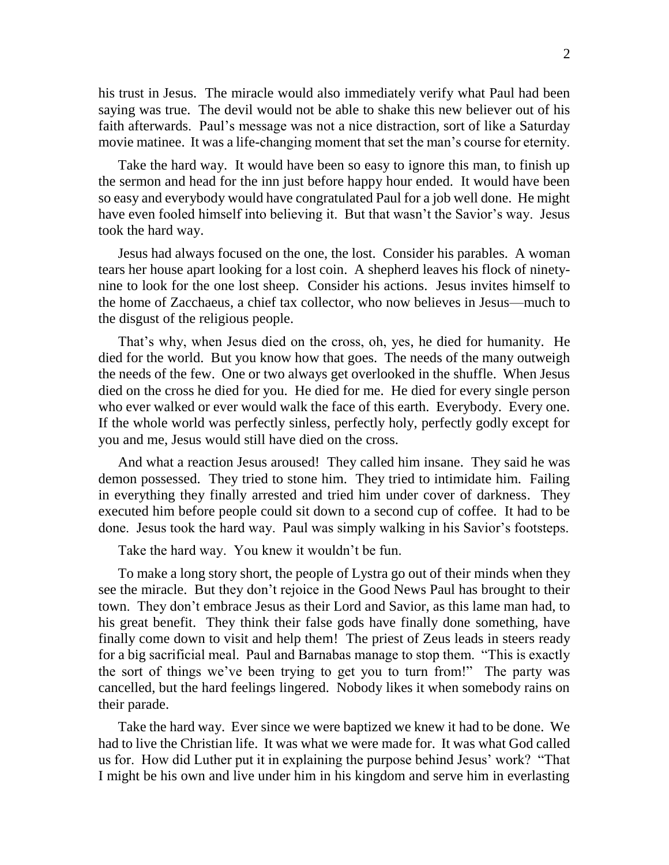his trust in Jesus. The miracle would also immediately verify what Paul had been saying was true. The devil would not be able to shake this new believer out of his faith afterwards. Paul's message was not a nice distraction, sort of like a Saturday movie matinee. It was a life-changing moment that set the man's course for eternity.

Take the hard way. It would have been so easy to ignore this man, to finish up the sermon and head for the inn just before happy hour ended. It would have been so easy and everybody would have congratulated Paul for a job well done. He might have even fooled himself into believing it. But that wasn't the Savior's way. Jesus took the hard way.

Jesus had always focused on the one, the lost. Consider his parables. A woman tears her house apart looking for a lost coin. A shepherd leaves his flock of ninetynine to look for the one lost sheep. Consider his actions. Jesus invites himself to the home of Zacchaeus, a chief tax collector, who now believes in Jesus—much to the disgust of the religious people.

That's why, when Jesus died on the cross, oh, yes, he died for humanity. He died for the world. But you know how that goes. The needs of the many outweigh the needs of the few. One or two always get overlooked in the shuffle. When Jesus died on the cross he died for you. He died for me. He died for every single person who ever walked or ever would walk the face of this earth. Everybody. Every one. If the whole world was perfectly sinless, perfectly holy, perfectly godly except for you and me, Jesus would still have died on the cross.

And what a reaction Jesus aroused! They called him insane. They said he was demon possessed. They tried to stone him. They tried to intimidate him. Failing in everything they finally arrested and tried him under cover of darkness. They executed him before people could sit down to a second cup of coffee. It had to be done. Jesus took the hard way. Paul was simply walking in his Savior's footsteps.

Take the hard way. You knew it wouldn't be fun.

To make a long story short, the people of Lystra go out of their minds when they see the miracle. But they don't rejoice in the Good News Paul has brought to their town. They don't embrace Jesus as their Lord and Savior, as this lame man had, to his great benefit. They think their false gods have finally done something, have finally come down to visit and help them! The priest of Zeus leads in steers ready for a big sacrificial meal. Paul and Barnabas manage to stop them. "This is exactly the sort of things we've been trying to get you to turn from!" The party was cancelled, but the hard feelings lingered. Nobody likes it when somebody rains on their parade.

Take the hard way. Ever since we were baptized we knew it had to be done. We had to live the Christian life. It was what we were made for. It was what God called us for. How did Luther put it in explaining the purpose behind Jesus' work? "That I might be his own and live under him in his kingdom and serve him in everlasting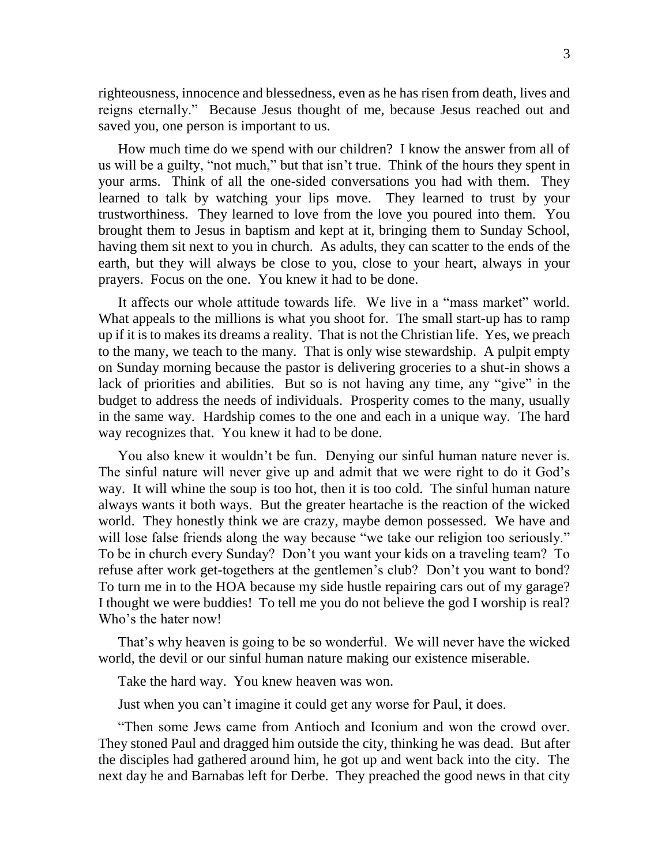righteousness, innocence and blessedness, even as he has risen from death, lives and reigns eternally." Because Jesus thought of me, because Jesus reached out and saved you, one person is important to us.

How much time do we spend with our children? I know the answer from all of us will be a guilty, "not much," but that isn't true. Think of the hours they spent in your arms. Think of all the one-sided conversations you had with them. They learned to talk by watching your lips move. They learned to trust by your trustworthiness. They learned to love from the love you poured into them. You brought them to Jesus in baptism and kept at it, bringing them to Sunday School, having them sit next to you in church. As adults, they can scatter to the ends of the earth, but they will always be close to you, close to your heart, always in your prayers. Focus on the one. You knew it had to be done.

It affects our whole attitude towards life. We live in a "mass market" world. What appeals to the millions is what you shoot for. The small start-up has to ramp up if it is to makes its dreams a reality. That is not the Christian life. Yes, we preach to the many, we teach to the many. That is only wise stewardship. A pulpit empty on Sunday morning because the pastor is delivering groceries to a shut-in shows a lack of priorities and abilities. But so is not having any time, any "give" in the budget to address the needs of individuals. Prosperity comes to the many, usually in the same way. Hardship comes to the one and each in a unique way. The hard way recognizes that. You knew it had to be done.

You also knew it wouldn't be fun. Denying our sinful human nature never is. The sinful nature will never give up and admit that we were right to do it God's way. It will whine the soup is too hot, then it is too cold. The sinful human nature always wants it both ways. But the greater heartache is the reaction of the wicked world. They honestly think we are crazy, maybe demon possessed. We have and will lose false friends along the way because "we take our religion too seriously." To be in church every Sunday? Don't you want your kids on a traveling team? To refuse after work get-togethers at the gentlemen's club? Don't you want to bond? To turn me in to the HOA because my side hustle repairing cars out of my garage? I thought we were buddies! To tell me you do not believe the god I worship is real? Who's the hater now!

That's why heaven is going to be so wonderful. We will never have the wicked world, the devil or our sinful human nature making our existence miserable.

Take the hard way. You knew heaven was won.

Just when you can't imagine it could get any worse for Paul, it does.

"Then some Jews came from Antioch and Iconium and won the crowd over. They stoned Paul and dragged him outside the city, thinking he was dead. But after the disciples had gathered around him, he got up and went back into the city. The next day he and Barnabas left for Derbe. They preached the good news in that city